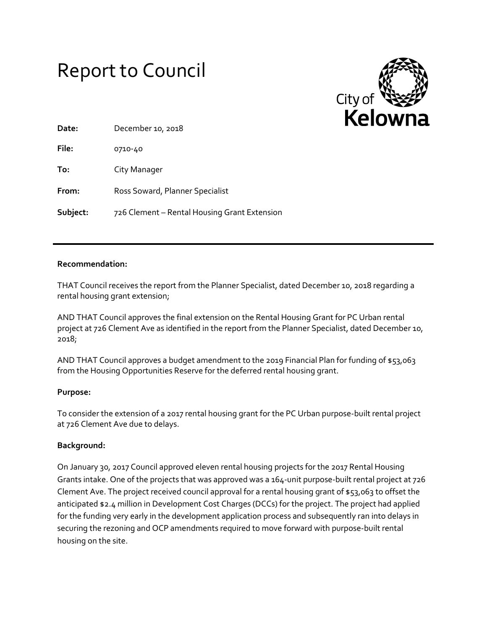# Report to Council



| Date:    | December 10, 2018                            |
|----------|----------------------------------------------|
| File:    | 0710-40                                      |
| To:      | City Manager                                 |
| From:    | Ross Soward, Planner Specialist              |
| Subject: | 726 Clement - Rental Housing Grant Extension |

# **Recommendation:**

THAT Council receives the report from the Planner Specialist, dated December 10, 2018 regarding a rental housing grant extension;

AND THAT Council approves the final extension on the Rental Housing Grant for PC Urban rental project at 726 Clement Ave as identified in the report from the Planner Specialist, dated December 10, 2018;

AND THAT Council approves a budget amendment to the 2019 Financial Plan for funding of \$53,063 from the Housing Opportunities Reserve for the deferred rental housing grant.

# **Purpose:**

To consider the extension of a 2017 rental housing grant for the PC Urban purpose-built rental project at 726 Clement Ave due to delays.

#### **Background:**

On January 30, 2017 Council approved eleven rental housing projects for the 2017 Rental Housing Grants intake. One of the projects that was approved was a 164-unit purpose-built rental project at 726 Clement Ave. The project received council approval for a rental housing grant of \$53,063 to offset the anticipated \$2.4 million in Development Cost Charges (DCCs) for the project. The project had applied for the funding very early in the development application process and subsequently ran into delays in securing the rezoning and OCP amendments required to move forward with purpose-built rental housing on the site.